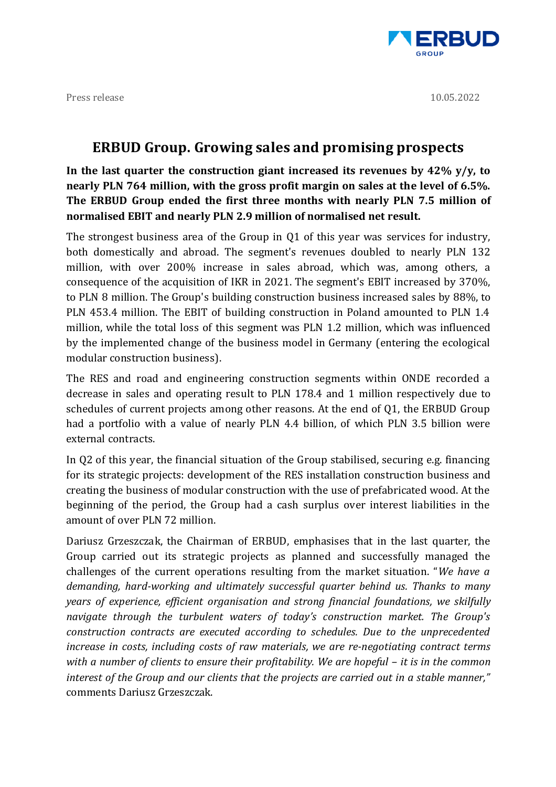

Press release 10.05.2022

## **ERBUD Group. Growing sales and promising prospects**

**In the last quarter the construction giant increased its revenues by 42% y/y, to nearly PLN 764 million, with the gross profit margin on sales at the level of 6.5%. The ERBUD Group ended the first three months with nearly PLN 7.5 million of normalised EBIT and nearly PLN 2.9 million of normalised net result.** 

The strongest business area of the Group in Q1 of this year was services for industry, both domestically and abroad. The segment's revenues doubled to nearly PLN 132 million, with over 200% increase in sales abroad, which was, among others, a consequence of the acquisition of IKR in 2021. The segment's EBIT increased by 370%, to PLN 8 million. The Group's building construction business increased sales by 88%, to PLN 453.4 million. The EBIT of building construction in Poland amounted to PLN 1.4 million, while the total loss of this segment was PLN 1.2 million, which was influenced by the implemented change of the business model in Germany (entering the ecological modular construction business).

The RES and road and engineering construction segments within ONDE recorded a decrease in sales and operating result to PLN 178.4 and 1 million respectively due to schedules of current projects among other reasons. At the end of Q1, the ERBUD Group had a portfolio with a value of nearly PLN 4.4 billion, of which PLN 3.5 billion were external contracts.

In Q2 of this year, the financial situation of the Group stabilised, securing e.g. financing for its strategic projects: development of the RES installation construction business and creating the business of modular construction with the use of prefabricated wood. At the beginning of the period, the Group had a cash surplus over interest liabilities in the amount of over PLN 72 million.

Dariusz Grzeszczak, the Chairman of ERBUD, emphasises that in the last quarter, the Group carried out its strategic projects as planned and successfully managed the challenges of the current operations resulting from the market situation. "*We have a demanding, hard-working and ultimately successful quarter behind us. Thanks to many years of experience, efficient organisation and strong financial foundations, we skilfully navigate through the turbulent waters of today's construction market. The Group's construction contracts are executed according to schedules. Due to the unprecedented increase in costs, including costs of raw materials, we are re-negotiating contract terms with a number of clients to ensure their profitability. We are hopeful – it is in the common interest of the Group and our clients that the projects are carried out in a stable manner,"*  comments Dariusz Grzeszczak.